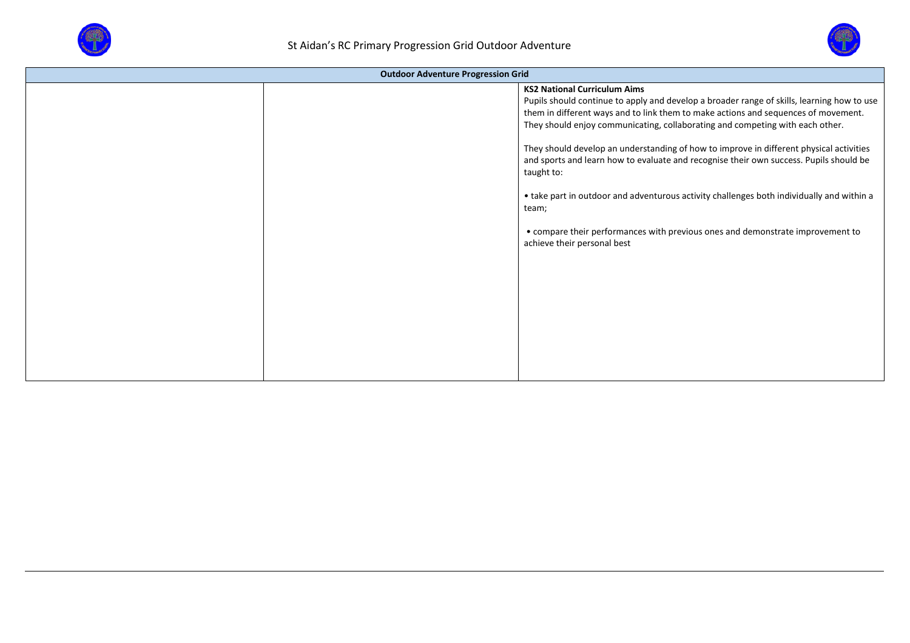



| <b>Outdoor Adventure Progression Grid</b> |  |                                                                                                                                                                                                                                                                                                                                                                                                                                                                                                                                                                                                                                                                                                                                    |  |  |  |  |
|-------------------------------------------|--|------------------------------------------------------------------------------------------------------------------------------------------------------------------------------------------------------------------------------------------------------------------------------------------------------------------------------------------------------------------------------------------------------------------------------------------------------------------------------------------------------------------------------------------------------------------------------------------------------------------------------------------------------------------------------------------------------------------------------------|--|--|--|--|
|                                           |  | <b>KS2 National Curriculum Aims</b><br>Pupils should continue to apply and develop a broader range of skills, learning how to use<br>them in different ways and to link them to make actions and sequences of movement.<br>They should enjoy communicating, collaborating and competing with each other.<br>They should develop an understanding of how to improve in different physical activities<br>and sports and learn how to evaluate and recognise their own success. Pupils should be<br>taught to:<br>• take part in outdoor and adventurous activity challenges both individually and within a<br>team;<br>• compare their performances with previous ones and demonstrate improvement to<br>achieve their personal best |  |  |  |  |
|                                           |  |                                                                                                                                                                                                                                                                                                                                                                                                                                                                                                                                                                                                                                                                                                                                    |  |  |  |  |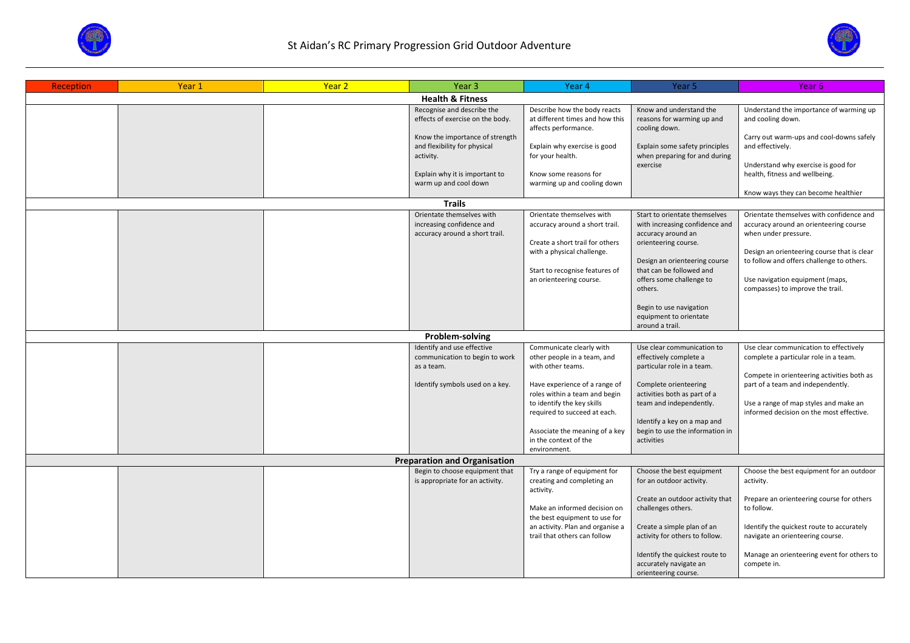



| <b>Reception</b>            | Year 1 | Year <sub>2</sub> | Year 3                                                                | Year 4                                                           | Year 5                                                                           | Year 6                                                                            |  |  |  |
|-----------------------------|--------|-------------------|-----------------------------------------------------------------------|------------------------------------------------------------------|----------------------------------------------------------------------------------|-----------------------------------------------------------------------------------|--|--|--|
| <b>Health &amp; Fitness</b> |        |                   |                                                                       |                                                                  |                                                                                  |                                                                                   |  |  |  |
|                             |        |                   | Recognise and describe the<br>effects of exercise on the body.        | Describe how the body reacts<br>at different times and how this  | Know and understand the<br>reasons for warming up and                            | Understand the importance of warming up<br>and cooling down.                      |  |  |  |
|                             |        |                   | Know the importance of strength<br>and flexibility for physical       | affects performance.<br>Explain why exercise is good             | cooling down.<br>Explain some safety principles                                  | Carry out warm-ups and cool-downs safely<br>and effectively.                      |  |  |  |
|                             |        |                   | activity.<br>Explain why it is important to                           | for your health.<br>Know some reasons for                        | when preparing for and during<br>exercise                                        | Understand why exercise is good for<br>health, fitness and wellbeing.             |  |  |  |
|                             |        |                   | warm up and cool down                                                 | warming up and cooling down                                      |                                                                                  | Know ways they can become healthier                                               |  |  |  |
|                             |        |                   | <b>Trails</b>                                                         |                                                                  |                                                                                  |                                                                                   |  |  |  |
|                             |        |                   | Orientate themselves with                                             | Orientate themselves with                                        | Start to orientate themselves                                                    | Orientate themselves with confidence and                                          |  |  |  |
|                             |        |                   | increasing confidence and<br>accuracy around a short trail.           | accuracy around a short trail.                                   | with increasing confidence and<br>accuracy around an                             | accuracy around an orienteering course<br>when under pressure.                    |  |  |  |
|                             |        |                   |                                                                       | Create a short trail for others<br>with a physical challenge.    | orienteering course.                                                             | Design an orienteering course that is clear                                       |  |  |  |
|                             |        |                   |                                                                       | Start to recognise features of                                   | Design an orienteering course<br>that can be followed and                        | to follow and offers challenge to others.                                         |  |  |  |
|                             |        |                   |                                                                       | an orienteering course.                                          | offers some challenge to<br>others.                                              | Use navigation equipment (maps,<br>compasses) to improve the trail.               |  |  |  |
|                             |        |                   |                                                                       |                                                                  | Begin to use navigation<br>equipment to orientate                                |                                                                                   |  |  |  |
|                             |        |                   |                                                                       |                                                                  | around a trail.                                                                  |                                                                                   |  |  |  |
|                             |        |                   | Problem-solving                                                       |                                                                  |                                                                                  |                                                                                   |  |  |  |
|                             |        |                   | Identify and use effective                                            | Communicate clearly with                                         | Use clear communication to                                                       | Use clear communication to effectively                                            |  |  |  |
|                             |        |                   | communication to begin to work                                        | other people in a team, and                                      | effectively complete a                                                           | complete a particular role in a team.                                             |  |  |  |
|                             |        |                   | as a team.                                                            | with other teams.                                                | particular role in a team.                                                       | Compete in orienteering activities both as                                        |  |  |  |
|                             |        |                   | Identify symbols used on a key.                                       | Have experience of a range of<br>roles within a team and begin   | Complete orienteering<br>activities both as part of a                            | part of a team and independently.                                                 |  |  |  |
|                             |        |                   |                                                                       | to identify the key skills<br>required to succeed at each.       | team and independently.                                                          | Use a range of map styles and make an<br>informed decision on the most effective. |  |  |  |
|                             |        |                   |                                                                       |                                                                  | Identify a key on a map and                                                      |                                                                                   |  |  |  |
|                             |        |                   |                                                                       | Associate the meaning of a key<br>in the context of the          | begin to use the information in<br>activities                                    |                                                                                   |  |  |  |
|                             |        |                   |                                                                       | environment.                                                     |                                                                                  |                                                                                   |  |  |  |
|                             |        |                   | <b>Preparation and Organisation</b><br>Begin to choose equipment that |                                                                  |                                                                                  |                                                                                   |  |  |  |
|                             |        |                   | is appropriate for an activity.                                       | Try a range of equipment for<br>creating and completing an       | Choose the best equipment<br>for an outdoor activity.                            | Choose the best equipment for an outdoor<br>activity.                             |  |  |  |
|                             |        |                   |                                                                       | activity.                                                        |                                                                                  |                                                                                   |  |  |  |
|                             |        |                   |                                                                       |                                                                  | Create an outdoor activity that                                                  | Prepare an orienteering course for others                                         |  |  |  |
|                             |        |                   |                                                                       | Make an informed decision on<br>the best equipment to use for    | challenges others.                                                               | to follow.                                                                        |  |  |  |
|                             |        |                   |                                                                       | an activity. Plan and organise a<br>trail that others can follow | Create a simple plan of an<br>activity for others to follow.                     | Identify the quickest route to accurately<br>navigate an orienteering course.     |  |  |  |
|                             |        |                   |                                                                       |                                                                  | Identify the quickest route to<br>accurately navigate an<br>orienteering course. | Manage an orienteering event for others to<br>compete in.                         |  |  |  |